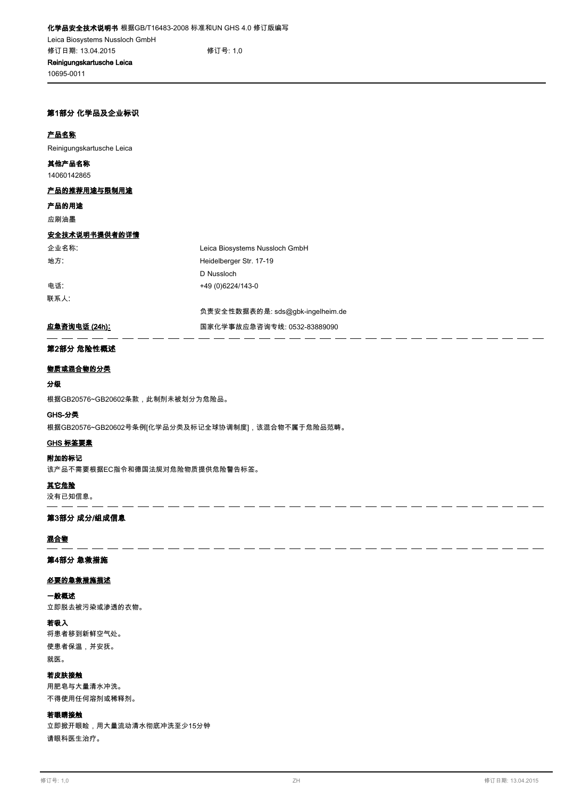**10695-0011**

## **第1部分 化学品及企业标识**

#### **产品名称**

**Reinigungskartusche Leica**

## **14060142865 其他产品名称**

# **产品的推荐用途与限制用途**

# **产品的用途**

**应刷油墨**

#### **安全技术说明书提供者的详情**

**联系人**:

**企业名称**: **Leica Biosystems Nussloch GmbH 地方**: **Heidelberger Str. 17-19 D Nussloch 电话**: **+49 (0)6224/143-0**

**负责安全性数据表的是: sds@gbk-ingelheim.de**

. . - -

# **应急咨询电话 (24h): 国家化学事故应急咨询专线: 0532-83889090**

# **第2部分 危险性概述**

## **物质或混合物的分类**

# **分级**

**根据GB20576~GB20602条款,此制剂未被划分为危险品。**

#### **GHS-分类**

**根据GB20576~GB20602号条例[化学品分类及标记全球协调制度],该混合物不属于危险品范畴。**

 $\overline{a}$  $\overline{a}$  $\overline{\phantom{a}}$  $\overline{\phantom{a}}$  $\overline{\phantom{a}}$  $\overline{a}$  $\overline{a}$ 

## **GHS 标签要素**

**附加的标记**

**该产品不需要根据EC指令和德国法规对危险物质提供危险警告标签。**

**其它危险**

**没有已知信息。**

#### **第3部分 成分/组成信息**

# **混合物**

# **第4部分 急救措施**

# **必要的急救措施描述**

# **一般概述**

**立即脱去被污染或渗透的衣物。**

# **若吸入**

**将患者移到新鲜空气处。 使患者保温,并安抚。 就医。**

# **若皮肤接触**

**用肥皂与大量清水冲洗。 不得使用任何溶剂或稀释剂。**

# **若眼睛接触**

**立即掀开眼睑,用大量流动清水彻底冲洗至少15分钟 请眼科医生治疗。**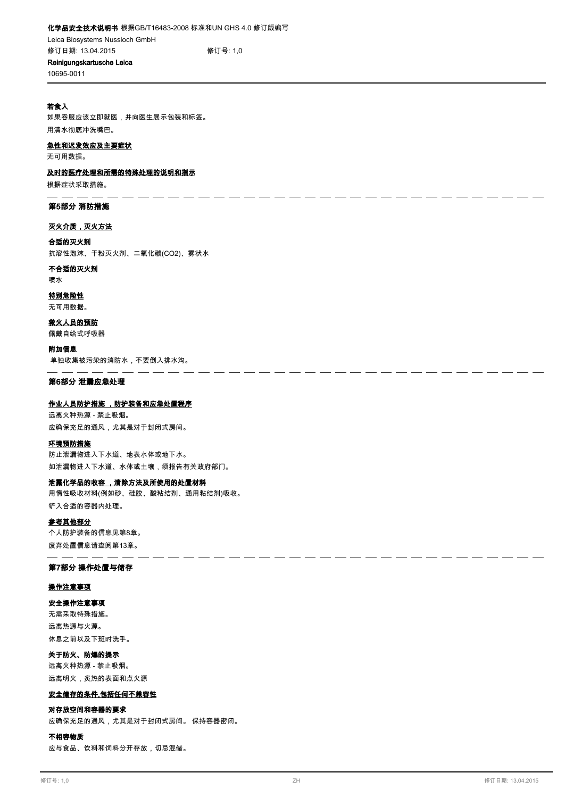- - - - - -

- -

**10695-0011**

# **若食入**

**如果吞服应该立即就医,并向医生展示包装和标签。 用清水彻底冲洗嘴巴。**

#### **急性和迟发效应及主要症状**

**无可用数据。**

#### **及时的医疗处理和所需的特殊处理的说明和指示**

**根据症状采取措施。**

## **第5部分 消防措施**

#### **灭火介质,灭火方法**

**合适的灭火剂**

**抗溶性泡沫、干粉灭火剂、二氧化碳(CO2)、雾状水**

# **不合适的灭火剂**

**喷水**

# **特别危险性**

**无可用数据。**

**佩戴自给式呼吸器 救火人员的预防**

**单独收集被污染的消防水,不要倒入排水沟。 附加信息**

### **第6部分 泄漏应急处理**

# **作业人员防护措施 ,防护装备和应急处置程序**

**远离火种热源 - 禁止吸烟。 应确保充足的通风,尤其是对于封闭式房间。**

#### **环境预防措施**

**防止泄漏物进入下水道、地表水体或地下水。 如泄漏物进入下水道、水体或土壤,须报告有关政府部门。**

## **泄露化学品的收容 ,清除方法及所使用的处置材料**

**用惰性吸收材料(例如砂、硅胶、酸粘结剂、通用粘结剂)吸收。 铲入合适的容器内处理。**

#### **参考其他部分**

**个人防护装备的信息见第8章。 废弃处置信息请查阅第13章。**

#### **第7部分 操作处置与储存**

#### **操作注意事项**

## **安全操作注意事项**

**无需采取特殊措施。 远离热源与火源。 休息之前以及下班时洗手。**

# **关于防火、防爆的提示**

**远离火种热源 - 禁止吸烟。 远离明火,炙热的表面和点火源**

# **安全储存的条件,包括任何不兼容性**

### **对存放空间和容器的要求**

**应确保充足的通风,尤其是对于封闭式房间。 保持容器密闭。**

#### **不相容物质**

**应与食品、饮料和饲料分开存放,切忌混储。**

ن المناسب المناسب المناسب المناسب المناسب المناسب المناسب المناسب المناسب المناسب المناسب المناسب المناسب المن

 $\overline{\phantom{a}}$  $\overline{\phantom{a}}$  $\overline{\phantom{a}}$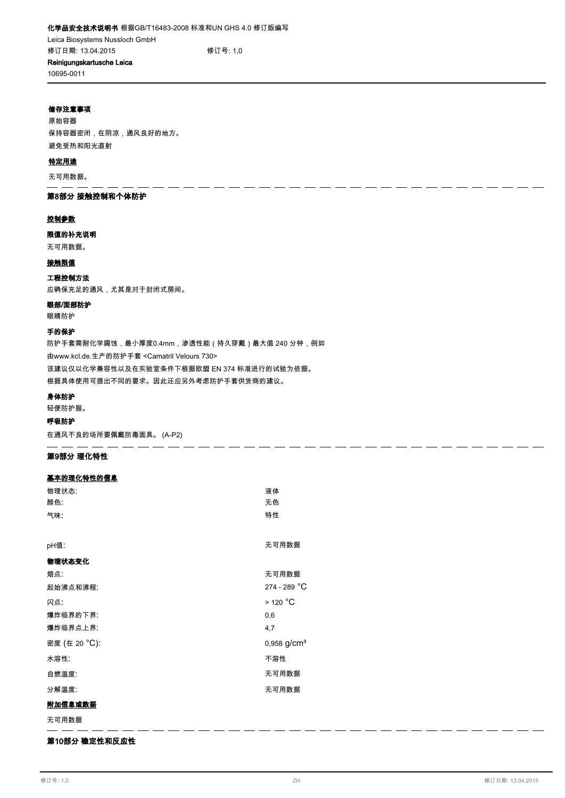# **10695-0011**

## **储存注意事项**

**原始容器 保持容器密闭,在阴凉,通风良好的地方。 避免受热和阳光直射**

## **特定用途**

**无可用数据。**

# **第8部分 接触控制和个体防护**

#### **控制参数**

**限值的补充说明**

# **无可用数据。**

**接触限值**

## **工程控制方法**

**应确保充足的通风,尤其是对于封闭式房间。**

## **眼部/面部防护**

**眼睛防护**

# **手的保护**

**防护手套需耐化学腐蚀,最小厚度0.4mm,渗透性能(持久穿戴)最大值 240 分钟,例如 由www.kcl.de.生产的防护手套 <Camatril Velours 730> 该建议仅以化学兼容性以及在实验室条件下根据欧盟 EN 374 标准进行的试验为依据。 根据具体使用可提出不同的要求。因此还应另外考虑防护手套供货商的建议。**

#### **身体防护**

**轻便防护服。**

# **呼吸防护**

**在通风不良的场所要佩戴防毒面具。 (A-P2)**

# **第9部分 理化特性**

# **基本的理化特性的信息**

| 物理状态:         | 液体                        |
|---------------|---------------------------|
| 颜色:           | 无色                        |
| 气味:           | 特性                        |
|               |                           |
| pH值:          | 无可用数据                     |
| 物理状态变化        |                           |
| 熔点:           | 无可用数据                     |
| 起始沸点和沸程:      | 274 - 289 °C              |
| 闪点:           | $>$ 120 $^{\circ}$ C      |
| 爆炸临界的下界:      | 0,6                       |
| 爆炸临界点上界:      | 4,7                       |
| 密度 (在 20 °C): | $0,958$ g/cm <sup>3</sup> |
| 水溶性:          | 不溶性                       |
| 自燃温度:         | 无可用数据                     |
| 分解温度:         | 无可用数据                     |
| 附加信息或数据       |                           |
|               |                           |

**无可用数据** - - -

# **第10部分 稳定性和反应性**

- - - - - - - - - - - - - -

 $\overline{a}$ 

 $=$   $=$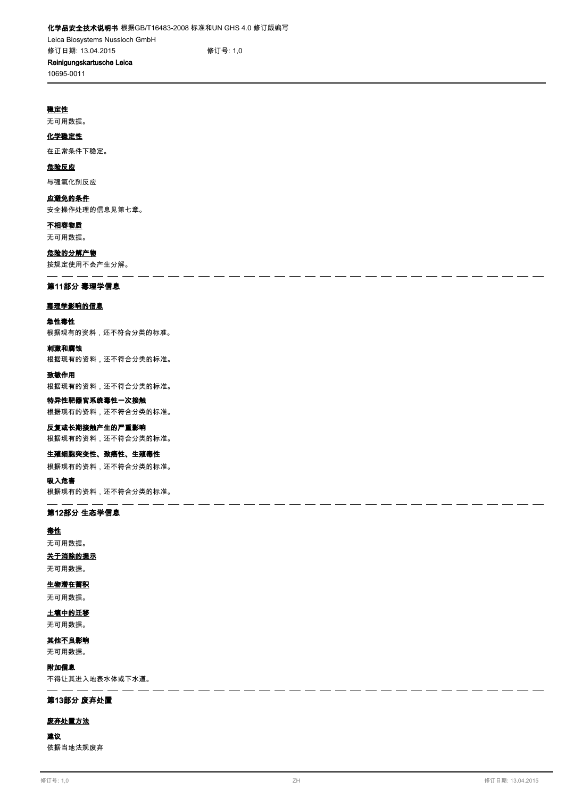**修订日期: 13.04.2015 修订号: 1,0**

#### **Reinigungskartusche Leica 10695-0011**

#### **稳定性**

**无可用数据。**

# **化学稳定性**

**在正常条件下稳定。**

#### **危险反应**

**与强氧化剂反应**

# **应避免的条件**

**安全操作处理的信息见第七章。**

# **不相容物质**

**无可用数据。**

# **危险的分解产物**

**按规定使用不会产生分解。**

#### **第11部分 毒理学信息**

#### **毒理学影响的信息**

#### **急性毒性**

**根据现有的资料,还不符合分类的标准。**

#### **刺激和腐蚀**

**根据现有的资料,还不符合分类的标准。**

#### **致敏作用**

**根据现有的资料,还不符合分类的标准。**

## **特异性靶器官系统毒性一次接触 根据现有的资料,还不符合分类的标准。**

# **反复或长期接触产生的严重影响**

**根据现有的资料,还不符合分类的标准。**

#### **生殖细胞突变性、致癌性、生殖毒性**

**根据现有的资料,还不符合分类的标准。**

**吸入危害**

**根据现有的资料,还不符合分类的标准。**

#### **第12部分 生态学信息**

#### **毒性**

**无可用数据。**

# **关于消除的提示**

**无可用数据。**

#### **生物潜在蓄积**

**无可用数据。**

# **土壤中的迁移**

**无可用数据。**

# **其他不良影响**

**无可用数据。**

#### **附加信息**

**不得让其进入地表水体或下水道。**

#### **第13部分 废弃处置**

#### **废弃处置方法**

**建议**

**依据当地法规废弃**

 $\overline{\phantom{a}}$  $\overline{a}$  $\overline{\phantom{a}}$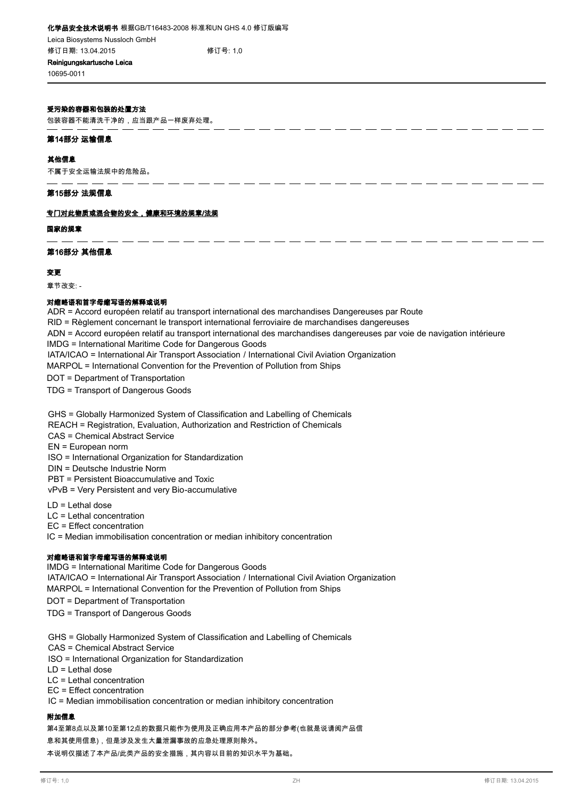# **化学品安全技术说明书 根据GB/T16483-2008 标准和UN GHS 4.0 修订版编写**

**Leica Biosystems Nussloch GmbH 修订日期: 13.04.2015 修订号: 1,0**

**Reinigungskartusche Leica 10695-0011**

## **受污染的容器和包装的处置方法**

**包装容器不能清洗干净的,应当跟产品一样废弃处理。**

### **第14部分 运输信息**

#### **其他信息**

**不属于安全运输法规中的危险品。**

### **第15部分 法规信息**

### **专门对此物质或混合物的安全,健康和环境的规章/法规**

**国家的规章**

## **第16部分 其他信息**

## **变更**

**章节改变: -**

## **对缩略语和首字母缩写语的解释或说明**

ADR = Accord européen relatif au transport international des marchandises Dangereuses par Route RID = Règlement concernant le transport international ferroviaire de marchandises dangereuses ADN = Accord européen relatif au transport international des marchandises dangereuses par voie de navigation intérieure IMDG = International Maritime Code for Dangerous Goods IATA/ICAO = International Air Transport Association / International Civil Aviation Organization MARPOL = International Convention for the Prevention of Pollution from Ships

<u>. . . . . . . . .</u> .

DOT = Department of Transportation

TDG = Transport of Dangerous Goods

GHS = Globally Harmonized System of Classification and Labelling of Chemicals

REACH = Registration, Evaluation, Authorization and Restriction of Chemicals

- CAS = Chemical Abstract Service
- EN = European norm

ISO = International Organization for Standardization

DIN = Deutsche Industrie Norm

PBT = Persistent Bioaccumulative and Toxic

vPvB = Very Persistent and very Bio-accumulative

LD = Lethal dose

LC = Lethal concentration

EC = Effect concentration

IC = Median immobilisation concentration or median inhibitory concentration

## **对缩略语和首字母缩写语的解释或说明**

IMDG = International Maritime Code for Dangerous Goods

IATA/ICAO = International Air Transport Association / International Civil Aviation Organization

MARPOL = International Convention for the Prevention of Pollution from Ships

DOT = Department of Transportation

TDG = Transport of Dangerous Goods

GHS = Globally Harmonized System of Classification and Labelling of Chemicals

CAS = Chemical Abstract Service

ISO = International Organization for Standardization

LD = Lethal dose

LC = Lethal concentration

EC = Effect concentration

IC = Median immobilisation concentration or median inhibitory concentration

### **附加信息**

**第4至第8点以及第10至第12点的数据只能作为使用及正确应用本产品的部分参考(也就是说请阅产品信 息和其使用信息),但是涉及发生大量泄漏事故的应急处理原则除外。 本说明仅描述了本产品/此类产品的安全措施,其内容以目前的知识水平为基础。**